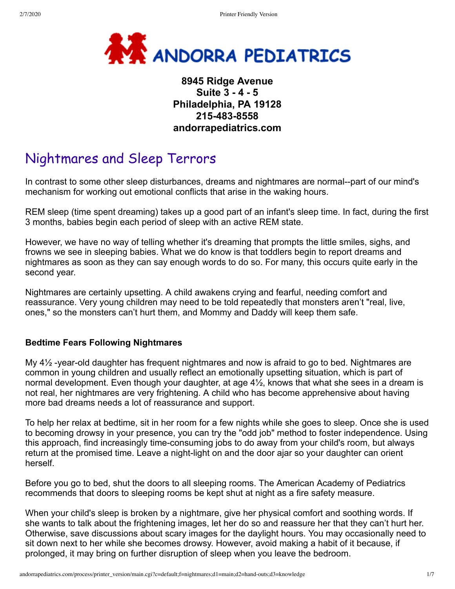

# **8945 Ridge Avenue Suite 3 - 4 - 5 Philadelphia, PA 19128 215-483-8558 andorrapediatrics.com**

# Nightmares and Sleep Terrors

In contrast to some other sleep disturbances, dreams and nightmares are normal--part of our mind's mechanism for working out emotional conflicts that arise in the waking hours.

REM sleep (time spent dreaming) takes up a good part of an infant's sleep time. In fact, during the first 3 months, babies begin each period of sleep with an active REM state.

However, we have no way of telling whether it's dreaming that prompts the little smiles, sighs, and frowns we see in sleeping babies. What we do know is that toddlers begin to report dreams and nightmares as soon as they can say enough words to do so. For many, this occurs quite early in the second year.

Nightmares are certainly upsetting. A child awakens crying and fearful, needing comfort and reassurance. Very young children may need to be told repeatedly that monsters aren't "real, live, ones," so the monsters can't hurt them, and Mommy and Daddy will keep them safe.

## **Bedtime Fears Following Nightmares**

My 4½ -year-old daughter has frequent nightmares and now is afraid to go to bed. Nightmares are common in young children and usually reflect an emotionally upsetting situation, which is part of normal development. Even though your daughter, at age 4½, knows that what she sees in a dream is not real, her nightmares are very frightening. A child who has become apprehensive about having more bad dreams needs a lot of reassurance and support.

To help her relax at bedtime, sit in her room for a few nights while she goes to sleep. Once she is used to becoming drowsy in your presence, you can try the "odd job" method to foster independence. Using this approach, find increasingly time-consuming jobs to do away from your child's room, but always return at the promised time. Leave a night-light on and the door ajar so your daughter can orient herself.

Before you go to bed, shut the doors to all sleeping rooms. The American Academy of Pediatrics recommends that doors to sleeping rooms be kept shut at night as a fire safety measure.

When your child's sleep is broken by a nightmare, give her physical comfort and soothing words. If she wants to talk about the frightening images, let her do so and reassure her that they can't hurt her. Otherwise, save discussions about scary images for the daylight hours. You may occasionally need to sit down next to her while she becomes drowsy. However, avoid making a habit of it because, if prolonged, it may bring on further disruption of sleep when you leave the bedroom.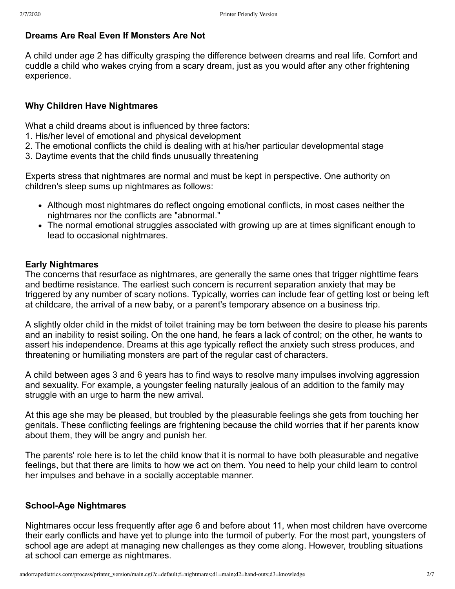# **Dreams Are Real Even If Monsters Are Not**

A child under age 2 has difficulty grasping the difference between dreams and real life. Comfort and cuddle a child who wakes crying from a scary dream, just as you would after any other frightening experience.

# **Why Children Have Nightmares**

What a child dreams about is influenced by three factors:

- 1. His/her level of emotional and physical development
- 2. The emotional conflicts the child is dealing with at his/her particular developmental stage
- 3. Daytime events that the child finds unusually threatening

Experts stress that nightmares are normal and must be kept in perspective. One authority on children's sleep sums up nightmares as follows:

- Although most nightmares do reflect ongoing emotional conflicts, in most cases neither the nightmares nor the conflicts are "abnormal."
- The normal emotional struggles associated with growing up are at times significant enough to lead to occasional nightmares.

## **Early Nightmares**

The concerns that resurface as nightmares, are generally the same ones that trigger nighttime fears and bedtime resistance. The earliest such concern is recurrent separation anxiety that may be triggered by any number of scary notions. Typically, worries can include fear of getting lost or being left at childcare, the arrival of a new baby, or a parent's temporary absence on a business trip.

A slightly older child in the midst of toilet training may be torn between the desire to please his parents and an inability to resist soiling. On the one hand, he fears a lack of control; on the other, he wants to assert his independence. Dreams at this age typically reflect the anxiety such stress produces, and threatening or humiliating monsters are part of the regular cast of characters.

A child between ages 3 and 6 years has to find ways to resolve many impulses involving aggression and sexuality. For example, a youngster feeling naturally jealous of an addition to the family may struggle with an urge to harm the new arrival.

At this age she may be pleased, but troubled by the pleasurable feelings she gets from touching her genitals. These conflicting feelings are frightening because the child worries that if her parents know about them, they will be angry and punish her.

The parents' role here is to let the child know that it is normal to have both pleasurable and negative feelings, but that there are limits to how we act on them. You need to help your child learn to control her impulses and behave in a socially acceptable manner.

## **School-Age Nightmares**

Nightmares occur less frequently after age 6 and before about 11, when most children have overcome their early conflicts and have yet to plunge into the turmoil of puberty. For the most part, youngsters of school age are adept at managing new challenges as they come along. However, troubling situations at school can emerge as nightmares.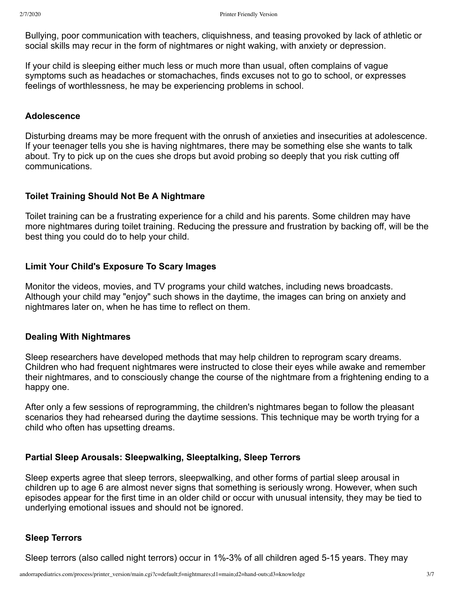Bullying, poor communication with teachers, cliquishness, and teasing provoked by lack of athletic or social skills may recur in the form of nightmares or night waking, with anxiety or depression.

If your child is sleeping either much less or much more than usual, often complains of vague symptoms such as headaches or stomachaches, finds excuses not to go to school, or expresses feelings of worthlessness, he may be experiencing problems in school.

#### **Adolescence**

Disturbing dreams may be more frequent with the onrush of anxieties and insecurities at adolescence. If your teenager tells you she is having nightmares, there may be something else she wants to talk about. Try to pick up on the cues she drops but avoid probing so deeply that you risk cutting off communications.

#### **Toilet Training Should Not Be A Nightmare**

Toilet training can be a frustrating experience for a child and his parents. Some children may have more nightmares during toilet training. Reducing the pressure and frustration by backing off, will be the best thing you could do to help your child.

## **Limit Your Child's Exposure To Scary Images**

Monitor the videos, movies, and TV programs your child watches, including news broadcasts. Although your child may "enjoy" such shows in the daytime, the images can bring on anxiety and nightmares later on, when he has time to reflect on them.

#### **Dealing With Nightmares**

Sleep researchers have developed methods that may help children to reprogram scary dreams. Children who had frequent nightmares were instructed to close their eyes while awake and remember their nightmares, and to consciously change the course of the nightmare from a frightening ending to a happy one.

After only a few sessions of reprogramming, the children's nightmares began to follow the pleasant scenarios they had rehearsed during the daytime sessions. This technique may be worth trying for a child who often has upsetting dreams.

## **Partial Sleep Arousals: Sleepwalking, Sleeptalking, Sleep Terrors**

Sleep experts agree that sleep terrors, sleepwalking, and other forms of partial sleep arousal in children up to age 6 are almost never signs that something is seriously wrong. However, when such episodes appear for the first time in an older child or occur with unusual intensity, they may be tied to underlying emotional issues and should not be ignored.

#### **Sleep Terrors**

Sleep terrors (also called night terrors) occur in 1%-3% of all children aged 5-15 years. They may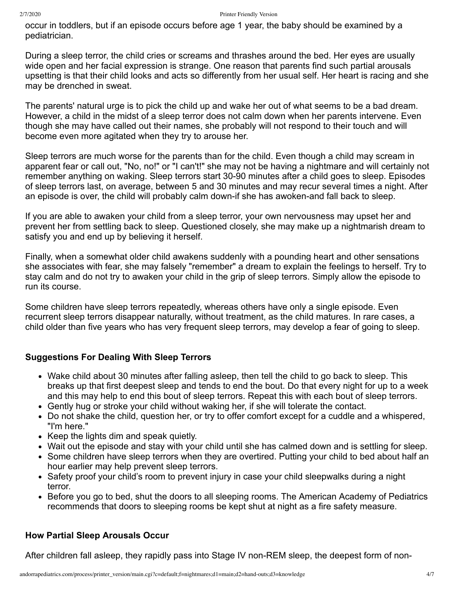occur in toddlers, but if an episode occurs before age 1 year, the baby should be examined by a pediatrician.

During a sleep terror, the child cries or screams and thrashes around the bed. Her eyes are usually wide open and her facial expression is strange. One reason that parents find such partial arousals upsetting is that their child looks and acts so differently from her usual self. Her heart is racing and she may be drenched in sweat.

The parents' natural urge is to pick the child up and wake her out of what seems to be a bad dream. However, a child in the midst of a sleep terror does not calm down when her parents intervene. Even though she may have called out their names, she probably will not respond to their touch and will become even more agitated when they try to arouse her.

Sleep terrors are much worse for the parents than for the child. Even though a child may scream in apparent fear or call out, "No, no!" or "I can't!" she may not be having a nightmare and will certainly not remember anything on waking. Sleep terrors start 30-90 minutes after a child goes to sleep. Episodes of sleep terrors last, on average, between 5 and 30 minutes and may recur several times a night. After an episode is over, the child will probably calm down-if she has awoken-and fall back to sleep.

If you are able to awaken your child from a sleep terror, your own nervousness may upset her and prevent her from settling back to sleep. Questioned closely, she may make up a nightmarish dream to satisfy you and end up by believing it herself.

Finally, when a somewhat older child awakens suddenly with a pounding heart and other sensations she associates with fear, she may falsely "remember" a dream to explain the feelings to herself. Try to stay calm and do not try to awaken your child in the grip of sleep terrors. Simply allow the episode to run its course.

Some children have sleep terrors repeatedly, whereas others have only a single episode. Even recurrent sleep terrors disappear naturally, without treatment, as the child matures. In rare cases, a child older than five years who has very frequent sleep terrors, may develop a fear of going to sleep.

## **Suggestions For Dealing With Sleep Terrors**

- Wake child about 30 minutes after falling asleep, then tell the child to go back to sleep. This breaks up that first deepest sleep and tends to end the bout. Do that every night for up to a week and this may help to end this bout of sleep terrors. Repeat this with each bout of sleep terrors.
- Gently hug or stroke your child without waking her, if she will tolerate the contact.
- Do not shake the child, question her, or try to offer comfort except for a cuddle and a whispered, "I'm here."
- Keep the lights dim and speak quietly.
- Wait out the episode and stay with your child until she has calmed down and is settling for sleep.
- Some children have sleep terrors when they are overtired. Putting your child to bed about half an hour earlier may help prevent sleep terrors.
- Safety proof your child's room to prevent injury in case your child sleepwalks during a night terror.
- Before you go to bed, shut the doors to all sleeping rooms. The American Academy of Pediatrics recommends that doors to sleeping rooms be kept shut at night as a fire safety measure.

## **How Partial Sleep Arousals Occur**

After children fall asleep, they rapidly pass into Stage IV non-REM sleep, the deepest form of non-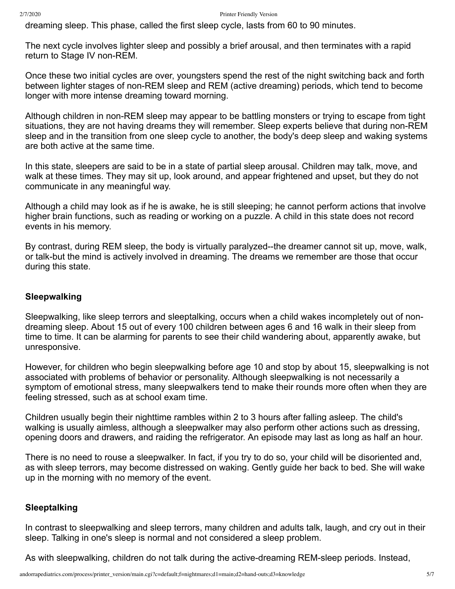dreaming sleep. This phase, called the first sleep cycle, lasts from 60 to 90 minutes.

The next cycle involves lighter sleep and possibly a brief arousal, and then terminates with a rapid return to Stage IV non-REM.

Once these two initial cycles are over, youngsters spend the rest of the night switching back and forth between lighter stages of non-REM sleep and REM (active dreaming) periods, which tend to become longer with more intense dreaming toward morning.

Although children in non-REM sleep may appear to be battling monsters or trying to escape from tight situations, they are not having dreams they will remember. Sleep experts believe that during non-REM sleep and in the transition from one sleep cycle to another, the body's deep sleep and waking systems are both active at the same time.

In this state, sleepers are said to be in a state of partial sleep arousal. Children may talk, move, and walk at these times. They may sit up, look around, and appear frightened and upset, but they do not communicate in any meaningful way.

Although a child may look as if he is awake, he is still sleeping; he cannot perform actions that involve higher brain functions, such as reading or working on a puzzle. A child in this state does not record events in his memory.

By contrast, during REM sleep, the body is virtually paralyzed--the dreamer cannot sit up, move, walk, or talk-but the mind is actively involved in dreaming. The dreams we remember are those that occur during this state.

## **Sleepwalking**

Sleepwalking, like sleep terrors and sleeptalking, occurs when a child wakes incompletely out of nondreaming sleep. About 15 out of every 100 children between ages 6 and 16 walk in their sleep from time to time. It can be alarming for parents to see their child wandering about, apparently awake, but unresponsive.

However, for children who begin sleepwalking before age 10 and stop by about 15, sleepwalking is not associated with problems of behavior or personality. Although sleepwalking is not necessarily a symptom of emotional stress, many sleepwalkers tend to make their rounds more often when they are feeling stressed, such as at school exam time.

Children usually begin their nighttime rambles within 2 to 3 hours after falling asleep. The child's walking is usually aimless, although a sleepwalker may also perform other actions such as dressing, opening doors and drawers, and raiding the refrigerator. An episode may last as long as half an hour.

There is no need to rouse a sleepwalker. In fact, if you try to do so, your child will be disoriented and, as with sleep terrors, may become distressed on waking. Gently guide her back to bed. She will wake up in the morning with no memory of the event.

## **Sleeptalking**

In contrast to sleepwalking and sleep terrors, many children and adults talk, laugh, and cry out in their sleep. Talking in one's sleep is normal and not considered a sleep problem.

As with sleepwalking, children do not talk during the active-dreaming REM-sleep periods. Instead,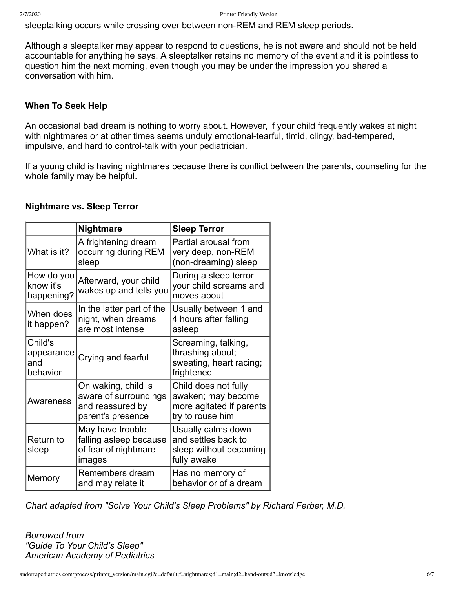sleeptalking occurs while crossing over between non-REM and REM sleep periods.

Although a sleeptalker may appear to respond to questions, he is not aware and should not be held accountable for anything he says. A sleeptalker retains no memory of the event and it is pointless to question him the next morning, even though you may be under the impression you shared a conversation with him.

## **When To Seek Help**

An occasional bad dream is nothing to worry about. However, if your child frequently wakes at night with nightmares or at other times seems unduly emotional-tearful, timid, clingy, bad-tempered, impulsive, and hard to control-talk with your pediatrician.

If a young child is having nightmares because there is conflict between the parents, counseling for the whole family may be helpful.

## **Nightmare vs. Sleep Terror**

|                                          | <b>Nightmare</b>                                                                      | <b>Sleep Terror</b>                                                                        |
|------------------------------------------|---------------------------------------------------------------------------------------|--------------------------------------------------------------------------------------------|
| What is it?                              | A frightening dream<br>occurring during REM<br>sleep                                  | Partial arousal from<br>very deep, non-REM<br>(non-dreaming) sleep                         |
| How do you<br>know it's<br>happening?    | Afterward, your child<br>wakes up and tells you                                       | During a sleep terror<br>your child screams and<br>moves about                             |
| When does<br>it happen?                  | In the latter part of the<br>night, when dreams<br>are most intense                   | Usually between 1 and<br>4 hours after falling<br>asleep                                   |
| Child's<br>appearance<br>and<br>behavior | Crying and fearful                                                                    | Screaming, talking,<br>thrashing about;<br>sweating, heart racing;<br>frightened           |
| Awareness                                | On waking, child is<br>aware of surroundings<br>and reassured by<br>parent's presence | Child does not fully<br>awaken; may become<br>more agitated if parents<br>try to rouse him |
| Return to<br>sleep                       | May have trouble<br>falling asleep because<br>of fear of nightmare<br>images          | Usually calms down<br>and settles back to<br>sleep without becoming<br>fully awake         |
| Memory                                   | Remembers dream<br>and may relate it                                                  | Has no memory of<br>behavior or of a dream                                                 |

*Chart adapted from "Solve Your Child's Sleep Problems" by Richard Ferber, M.D.*

*Borrowed from "Guide To Your Child's Sleep" American Academy of Pediatrics*